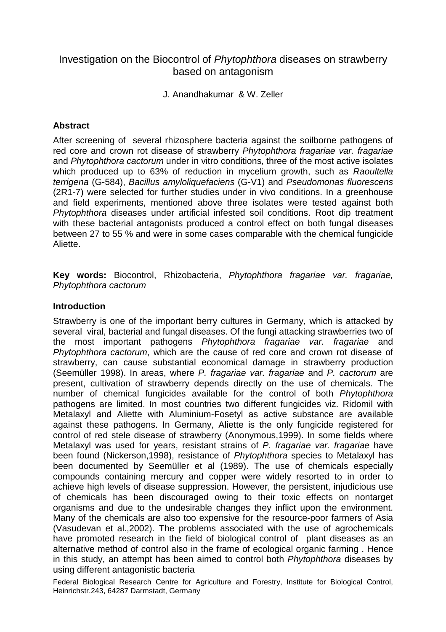# Investigation on the Biocontrol of Phytophthora diseases on strawberry based on antagonism

J. Anandhakumar & W. Zeller

## **Abstract**

After screening of several rhizosphere bacteria against the soilborne pathogens of red core and crown rot disease of strawberry Phytophthora fragariae var. fragariae and Phytophthora cactorum under in vitro conditions, three of the most active isolates which produced up to 63% of reduction in mycelium growth, such as Raoultella terrigena (G-584), Bacillus amyloliquefaciens (G-V1) and Pseudomonas fluorescens (2R1-7) were selected for further studies under in vivo conditions. In a greenhouse and field experiments, mentioned above three isolates were tested against both Phytophthora diseases under artificial infested soil conditions. Root dip treatment with these bacterial antagonists produced a control effect on both fungal diseases between 27 to 55 % and were in some cases comparable with the chemical fungicide Aliette.

**Key words:** Biocontrol, Rhizobacteria, Phytophthora fragariae var. fragariae, Phytophthora cactorum

## **Introduction**

Strawberry is one of the important berry cultures in Germany, which is attacked by several viral, bacterial and fungal diseases. Of the fungi attacking strawberries two of the most important pathogens Phytophthora fragariae var. fragariae and Phytophthora cactorum, which are the cause of red core and crown rot disease of strawberry, can cause substantial economical damage in strawberry production (Seemüller 1998). In areas, where P. fragariae var. fragariae and P. cactorum are present, cultivation of strawberry depends directly on the use of chemicals. The number of chemical fungicides available for the control of both Phytophthora pathogens are limited. In most countries two different fungicides viz. Ridomil with Metalaxyl and Aliette with Aluminium-Fosetyl as active substance are available against these pathogens. In Germany, Aliette is the only fungicide registered for control of red stele disease of strawberry (Anonymous,1999). In some fields where Metalaxyl was used for years, resistant strains of P. fragariae var. fragariae have been found (Nickerson,1998), resistance of Phytophthora species to Metalaxyl has been documented by Seemüller et al (1989). The use of chemicals especially compounds containing mercury and copper were widely resorted to in order to achieve high levels of disease suppression. However, the persistent, injudicious use of chemicals has been discouraged owing to their toxic effects on nontarget organisms and due to the undesirable changes they inflict upon the environment. Many of the chemicals are also too expensive for the resource-poor farmers of Asia (Vasudevan et al.,2002). The problems associated with the use of agrochemicals have promoted research in the field of biological control of plant diseases as an alternative method of control also in the frame of ecological organic farming . Hence in this study, an attempt has been aimed to control both Phytophthora diseases by using different antagonistic bacteria

Federal Biological Research Centre for Agriculture and Forestry, Institute for Biological Control, Heinrichstr.243, 64287 Darmstadt, Germany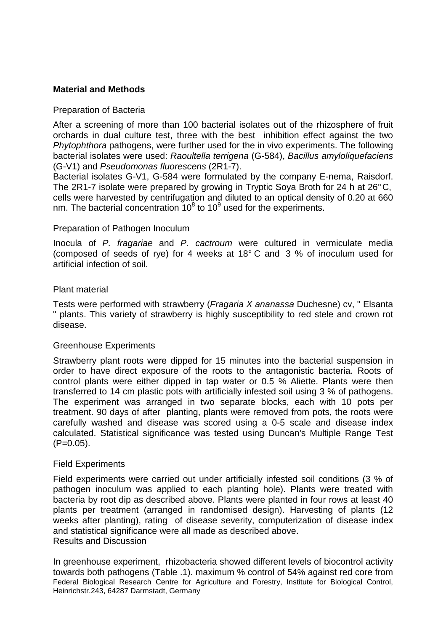## **Material and Methods**

### Preparation of Bacteria

After a screening of more than 100 bacterial isolates out of the rhizosphere of fruit orchards in dual culture test, three with the best inhibition effect against the two Phytophthora pathogens, were further used for the in vivo experiments. The following bacterial isolates were used: Raoultella terrigena (G-584), Bacillus amyloliquefaciens (G-V1) and Pseudomonas fluorescens (2R1-7).

Bacterial isolates G-V1, G-584 were formulated by the company E-nema, Raisdorf. The 2R1-7 isolate were prepared by growing in Tryptic Soya Broth for 24 h at 26° C, cells were harvested by centrifugation and diluted to an optical density of 0.20 at 660 nm. The bacterial concentration  $10^8$  to  $10^9$  used for the experiments.

## Preparation of Pathogen Inoculum

Inocula of P. fragariae and P. cactroum were cultured in vermiculate media (composed of seeds of rye) for 4 weeks at 18° C and 3 % of inoculum used for artificial infection of soil.

### Plant material

Tests were performed with strawberry (Fragaria X ananassa Duchesne) cv, " Elsanta " plants. This variety of strawberry is highly susceptibility to red stele and crown rot disease.

### Greenhouse Experiments

Strawberry plant roots were dipped for 15 minutes into the bacterial suspension in order to have direct exposure of the roots to the antagonistic bacteria. Roots of control plants were either dipped in tap water or 0.5 % Aliette. Plants were then transferred to 14 cm plastic pots with artificially infested soil using 3 % of pathogens. The experiment was arranged in two separate blocks, each with 10 pots per treatment. 90 days of after planting, plants were removed from pots, the roots were carefully washed and disease was scored using a 0-5 scale and disease index calculated. Statistical significance was tested using Duncan's Multiple Range Test  $(P=0.05)$ .

### Field Experiments

Field experiments were carried out under artificially infested soil conditions (3 % of pathogen inoculum was applied to each planting hole). Plants were treated with bacteria by root dip as described above. Plants were planted in four rows at least 40 plants per treatment (arranged in randomised design). Harvesting of plants (12 weeks after planting), rating of disease severity, computerization of disease index and statistical significance were all made as described above. Results and Discussion

Federal Biological Research Centre for Agriculture and Forestry, Institute for Biological Control, Heinrichstr.243, 64287 Darmstadt, Germany In greenhouse experiment, rhizobacteria showed different levels of biocontrol activity towards both pathogens (Table .1). maximum % control of 54% against red core from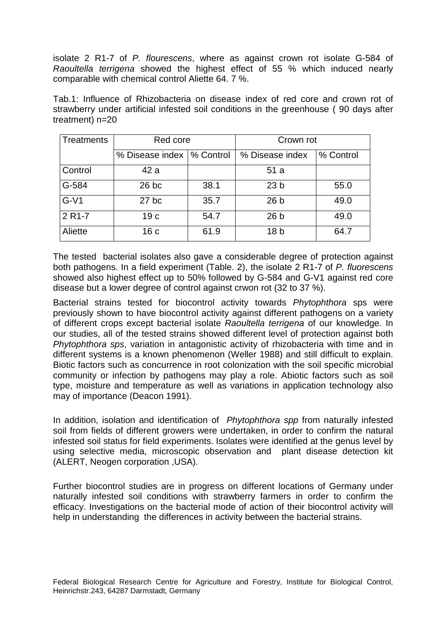isolate 2 R1-7 of P. flourescens, where as against crown rot isolate G-584 of Raoultella terrigena showed the highest effect of 55 % which induced nearly comparable with chemical control Aliette 64. 7 %.

Tab.1: Influence of Rhizobacteria on disease index of red core and crown rot of strawberry under artificial infested soil conditions in the greenhouse ( 90 days after treatment) n=20

| <b>Treatments</b>   | Red core                    |      | Crown rot       |           |
|---------------------|-----------------------------|------|-----------------|-----------|
|                     | % Disease index   % Control |      | % Disease index | % Control |
| Control             | 42 a                        |      | 51 a            |           |
| G-584               | $26$ bc                     | 38.1 | 23 <sub>b</sub> | 55.0      |
| $G-V1$              | $27$ bc                     | 35.7 | 26 <sub>b</sub> | 49.0      |
| 2 R <sub>1</sub> -7 | 19 <sub>c</sub>             | 54.7 | 26 <sub>b</sub> | 49.0      |
| Aliette             | 16 <sub>c</sub>             | 61.9 | 18 <sub>b</sub> | 64.7      |

The tested bacterial isolates also gave a considerable degree of protection against both pathogens. In a field experiment (Table. 2), the isolate 2 R1-7 of P. fluorescens showed also highest effect up to 50% followed by G-584 and G-V1 against red core disease but a lower degree of control against crwon rot (32 to 37 %).

Bacterial strains tested for biocontrol activity towards Phytophthora sps were previously shown to have biocontrol activity against different pathogens on a variety of different crops except bacterial isolate Raoultella terrigena of our knowledge. In our studies, all of the tested strains showed different level of protection against both Phytophthora sps, variation in antagonistic activity of rhizobacteria with time and in different systems is a known phenomenon (Weller 1988) and still difficult to explain. Biotic factors such as concurrence in root colonization with the soil specific microbial community or infection by pathogens may play a role. Abiotic factors such as soil type, moisture and temperature as well as variations in application technology also may of importance (Deacon 1991).

In addition, isolation and identification of Phytophthora spp from naturally infested soil from fields of different growers were undertaken, in order to confirm the natural infested soil status for field experiments. Isolates were identified at the genus level by using selective media, microscopic observation and plant disease detection kit (ALERT, Neogen corporation ,USA).

Further biocontrol studies are in progress on different locations of Germany under naturally infested soil conditions with strawberry farmers in order to confirm the efficacy. Investigations on the bacterial mode of action of their biocontrol activity will help in understanding the differences in activity between the bacterial strains.